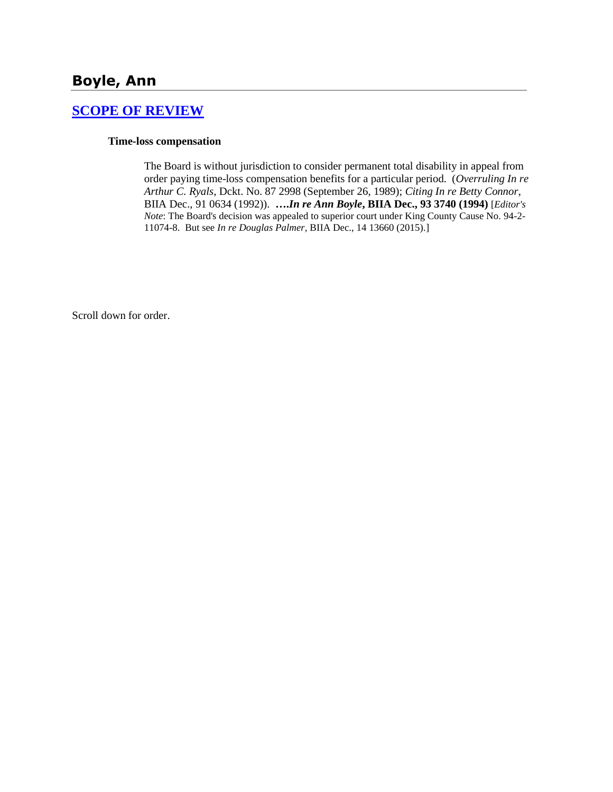## **[SCOPE OF REVIEW](http://www.biia.wa.gov/SDSubjectIndex.html#SCOPE_OF_REVIEW)**

### **Time-loss compensation**

The Board is without jurisdiction to consider permanent total disability in appeal from order paying time-loss compensation benefits for a particular period. (*Overruling In re Arthur C. Ryals*, Dckt. No. 87 2998 (September 26, 1989); *Citing In re Betty Connor*, BIIA Dec., 91 0634 (1992)). **….***In re Ann Boyle***, BIIA Dec., 93 3740 (1994)** [*Editor's Note*: The Board's decision was appealed to superior court under King County Cause No. 94-2- 11074-8. But see *In re Douglas Palmer,* BIIA Dec., 14 13660 (2015).]

Scroll down for order.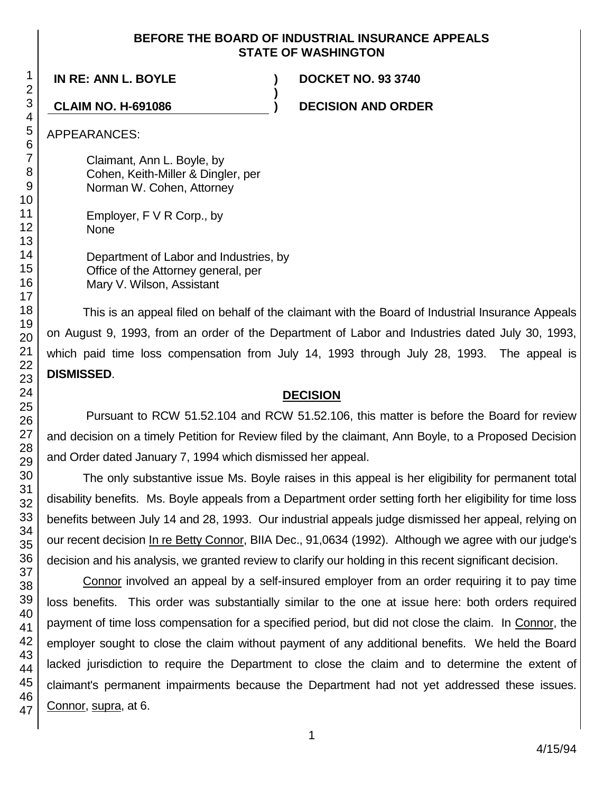### **BEFORE THE BOARD OF INDUSTRIAL INSURANCE APPEALS STATE OF WASHINGTON**

**)**

**IN RE: ANN L. BOYLE ) DOCKET NO. 93 3740**

**CLAIM NO. H-691086 ) DECISION AND ORDER**

APPEARANCES:

Claimant, Ann L. Boyle, by Cohen, Keith-Miller & Dingler, per Norman W. Cohen, Attorney

Employer, F V R Corp., by None

Department of Labor and Industries, by Office of the Attorney general, per Mary V. Wilson, Assistant

This is an appeal filed on behalf of the claimant with the Board of Industrial Insurance Appeals on August 9, 1993, from an order of the Department of Labor and Industries dated July 30, 1993, which paid time loss compensation from July 14, 1993 through July 28, 1993. The appeal is **DISMISSED**.

# **DECISION**

Pursuant to RCW 51.52.104 and RCW 51.52.106, this matter is before the Board for review and decision on a timely Petition for Review filed by the claimant, Ann Boyle, to a Proposed Decision and Order dated January 7, 1994 which dismissed her appeal.

The only substantive issue Ms. Boyle raises in this appeal is her eligibility for permanent total disability benefits. Ms. Boyle appeals from a Department order setting forth her eligibility for time loss benefits between July 14 and 28, 1993. Our industrial appeals judge dismissed her appeal, relying on our recent decision In re Betty Connor, BIIA Dec., 91,0634 (1992). Although we agree with our judge's decision and his analysis, we granted review to clarify our holding in this recent significant decision.

Connor involved an appeal by a self-insured employer from an order requiring it to pay time loss benefits. This order was substantially similar to the one at issue here: both orders required payment of time loss compensation for a specified period, but did not close the claim. In Connor, the employer sought to close the claim without payment of any additional benefits. We held the Board lacked jurisdiction to require the Department to close the claim and to determine the extent of claimant's permanent impairments because the Department had not yet addressed these issues. Connor, supra, at 6.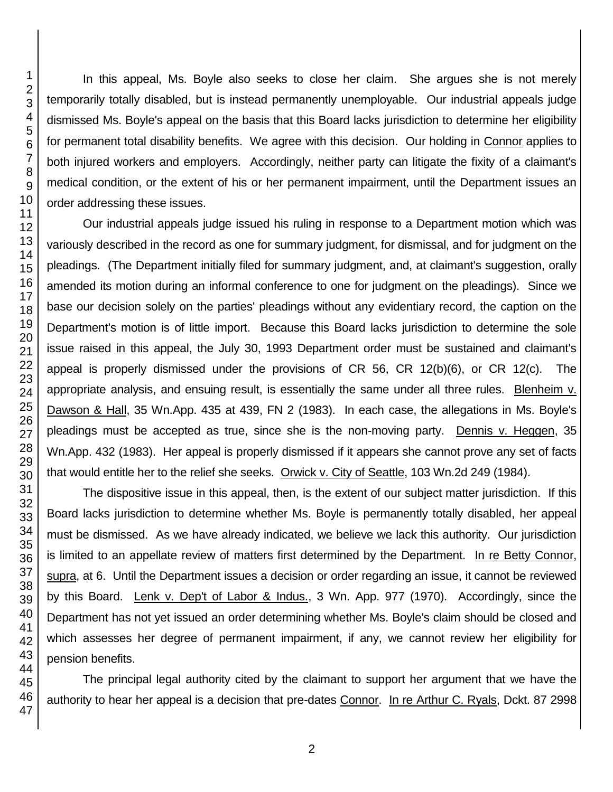In this appeal, Ms. Boyle also seeks to close her claim. She argues she is not merely temporarily totally disabled, but is instead permanently unemployable. Our industrial appeals judge dismissed Ms. Boyle's appeal on the basis that this Board lacks jurisdiction to determine her eligibility for permanent total disability benefits. We agree with this decision. Our holding in Connor applies to both injured workers and employers. Accordingly, neither party can litigate the fixity of a claimant's medical condition, or the extent of his or her permanent impairment, until the Department issues an order addressing these issues.

Our industrial appeals judge issued his ruling in response to a Department motion which was variously described in the record as one for summary judgment, for dismissal, and for judgment on the pleadings. (The Department initially filed for summary judgment, and, at claimant's suggestion, orally amended its motion during an informal conference to one for judgment on the pleadings). Since we base our decision solely on the parties' pleadings without any evidentiary record, the caption on the Department's motion is of little import. Because this Board lacks jurisdiction to determine the sole issue raised in this appeal, the July 30, 1993 Department order must be sustained and claimant's appeal is properly dismissed under the provisions of CR 56, CR 12(b)(6), or CR 12(c). The appropriate analysis, and ensuing result, is essentially the same under all three rules. Blenheim v. Dawson & Hall, 35 Wn.App. 435 at 439, FN 2 (1983). In each case, the allegations in Ms. Boyle's pleadings must be accepted as true, since she is the non-moving party. Dennis v. Heggen, 35 Wn.App. 432 (1983). Her appeal is properly dismissed if it appears she cannot prove any set of facts that would entitle her to the relief she seeks. Orwick v. City of Seattle, 103 Wn.2d 249 (1984).

The dispositive issue in this appeal, then, is the extent of our subject matter jurisdiction. If this Board lacks jurisdiction to determine whether Ms. Boyle is permanently totally disabled, her appeal must be dismissed. As we have already indicated, we believe we lack this authority. Our jurisdiction is limited to an appellate review of matters first determined by the Department. In re Betty Connor, supra, at 6. Until the Department issues a decision or order regarding an issue, it cannot be reviewed by this Board. Lenk v. Dep't of Labor & Indus., 3 Wn. App. 977 (1970). Accordingly, since the Department has not yet issued an order determining whether Ms. Boyle's claim should be closed and which assesses her degree of permanent impairment, if any, we cannot review her eligibility for pension benefits.

The principal legal authority cited by the claimant to support her argument that we have the authority to hear her appeal is a decision that pre-dates Connor. In re Arthur C. Ryals, Dckt. 87 2998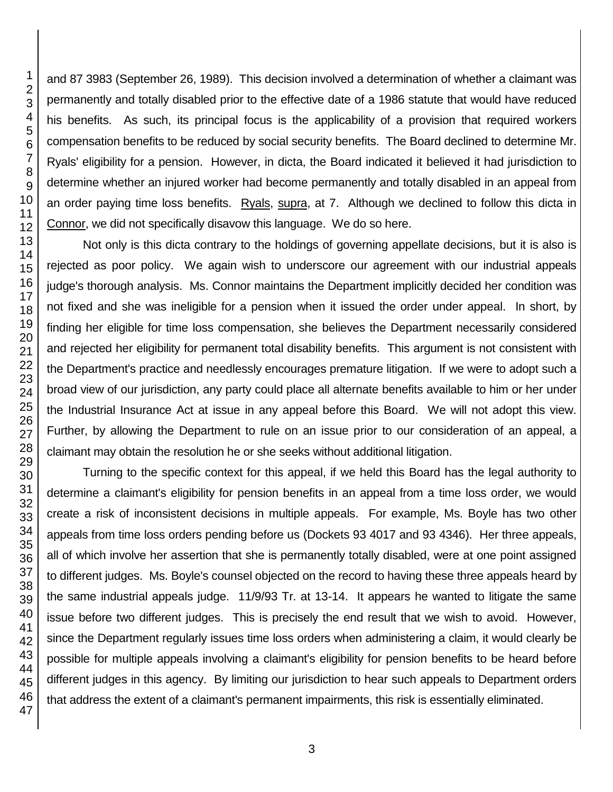and 87 3983 (September 26, 1989). This decision involved a determination of whether a claimant was permanently and totally disabled prior to the effective date of a 1986 statute that would have reduced his benefits. As such, its principal focus is the applicability of a provision that required workers compensation benefits to be reduced by social security benefits. The Board declined to determine Mr. Ryals' eligibility for a pension. However, in dicta, the Board indicated it believed it had jurisdiction to determine whether an injured worker had become permanently and totally disabled in an appeal from an order paying time loss benefits. Ryals, supra, at 7. Although we declined to follow this dicta in Connor, we did not specifically disavow this language. We do so here.

Not only is this dicta contrary to the holdings of governing appellate decisions, but it is also is rejected as poor policy. We again wish to underscore our agreement with our industrial appeals judge's thorough analysis. Ms. Connor maintains the Department implicitly decided her condition was not fixed and she was ineligible for a pension when it issued the order under appeal. In short, by finding her eligible for time loss compensation, she believes the Department necessarily considered and rejected her eligibility for permanent total disability benefits. This argument is not consistent with the Department's practice and needlessly encourages premature litigation. If we were to adopt such a broad view of our jurisdiction, any party could place all alternate benefits available to him or her under the Industrial Insurance Act at issue in any appeal before this Board. We will not adopt this view. Further, by allowing the Department to rule on an issue prior to our consideration of an appeal, a claimant may obtain the resolution he or she seeks without additional litigation.

Turning to the specific context for this appeal, if we held this Board has the legal authority to determine a claimant's eligibility for pension benefits in an appeal from a time loss order, we would create a risk of inconsistent decisions in multiple appeals. For example, Ms. Boyle has two other appeals from time loss orders pending before us (Dockets 93 4017 and 93 4346). Her three appeals, all of which involve her assertion that she is permanently totally disabled, were at one point assigned to different judges. Ms. Boyle's counsel objected on the record to having these three appeals heard by the same industrial appeals judge. 11/9/93 Tr. at 13-14. It appears he wanted to litigate the same issue before two different judges. This is precisely the end result that we wish to avoid. However, since the Department regularly issues time loss orders when administering a claim, it would clearly be possible for multiple appeals involving a claimant's eligibility for pension benefits to be heard before different judges in this agency. By limiting our jurisdiction to hear such appeals to Department orders that address the extent of a claimant's permanent impairments, this risk is essentially eliminated.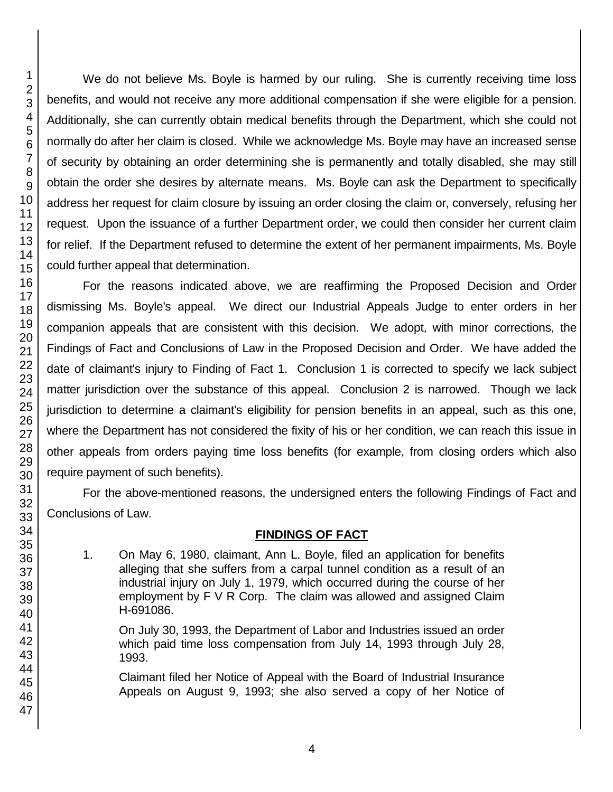We do not believe Ms. Boyle is harmed by our ruling. She is currently receiving time loss benefits, and would not receive any more additional compensation if she were eligible for a pension. Additionally, she can currently obtain medical benefits through the Department, which she could not normally do after her claim is closed. While we acknowledge Ms. Boyle may have an increased sense of security by obtaining an order determining she is permanently and totally disabled, she may still obtain the order she desires by alternate means. Ms. Boyle can ask the Department to specifically address her request for claim closure by issuing an order closing the claim or, conversely, refusing her request. Upon the issuance of a further Department order, we could then consider her current claim for relief. If the Department refused to determine the extent of her permanent impairments, Ms. Boyle could further appeal that determination.

For the reasons indicated above, we are reaffirming the Proposed Decision and Order dismissing Ms. Boyle's appeal. We direct our Industrial Appeals Judge to enter orders in her companion appeals that are consistent with this decision. We adopt, with minor corrections, the Findings of Fact and Conclusions of Law in the Proposed Decision and Order. We have added the date of claimant's injury to Finding of Fact 1. Conclusion 1 is corrected to specify we lack subject matter jurisdiction over the substance of this appeal. Conclusion 2 is narrowed. Though we lack jurisdiction to determine a claimant's eligibility for pension benefits in an appeal, such as this one, where the Department has not considered the fixity of his or her condition, we can reach this issue in other appeals from orders paying time loss benefits (for example, from closing orders which also require payment of such benefits).

For the above-mentioned reasons, the undersigned enters the following Findings of Fact and Conclusions of Law.

# **FINDINGS OF FACT**

1. On May 6, 1980, claimant, Ann L. Boyle, filed an application for benefits alleging that she suffers from a carpal tunnel condition as a result of an industrial injury on July 1, 1979, which occurred during the course of her employment by F V R Corp. The claim was allowed and assigned Claim H-691086.

On July 30, 1993, the Department of Labor and Industries issued an order which paid time loss compensation from July 14, 1993 through July 28, 1993.

Claimant filed her Notice of Appeal with the Board of Industrial Insurance Appeals on August 9, 1993; she also served a copy of her Notice of